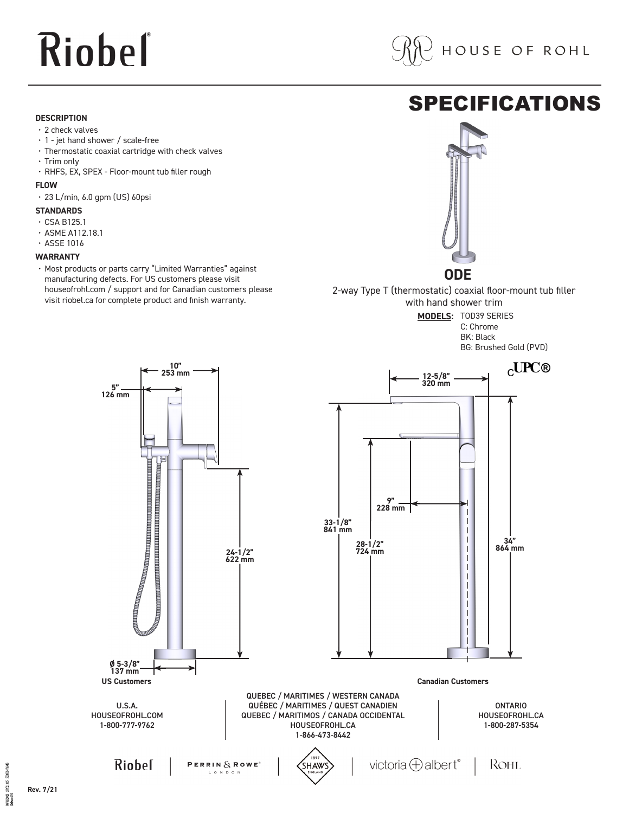# Riobel

#### **DESCRIPTION**

- 2 check valves
- 1 jet hand shower / scale-free
- Thermostatic coaxial cartridge with check valves
- Trim only
- RHFS, EX, SPEX Floor-mount tub filler rough

#### **FLOW**

 $\cdot$  23 L/min, 6.0 gpm (US) 60psi

#### **STANDARDS**

- CSA B125.1
- ASME A112.18.1
- ASSE 1016

#### **WARRANTY**

• Most products or parts carry "Limited Warranties" against manufacturing defects. For US customers please visit houseofrohl.com / support and for Canadian customers please visit riobel.ca for complete product and finish warranty.

### SPECIFICATIONS



2-way Type T (thermostatic) coaxial floor-mount tub filler with hand shower trim

> **MODELS:** TOD39 SERIES C: Chrome BK: Black



avenue aver **PC2196** 06/06/2021<br>Released 00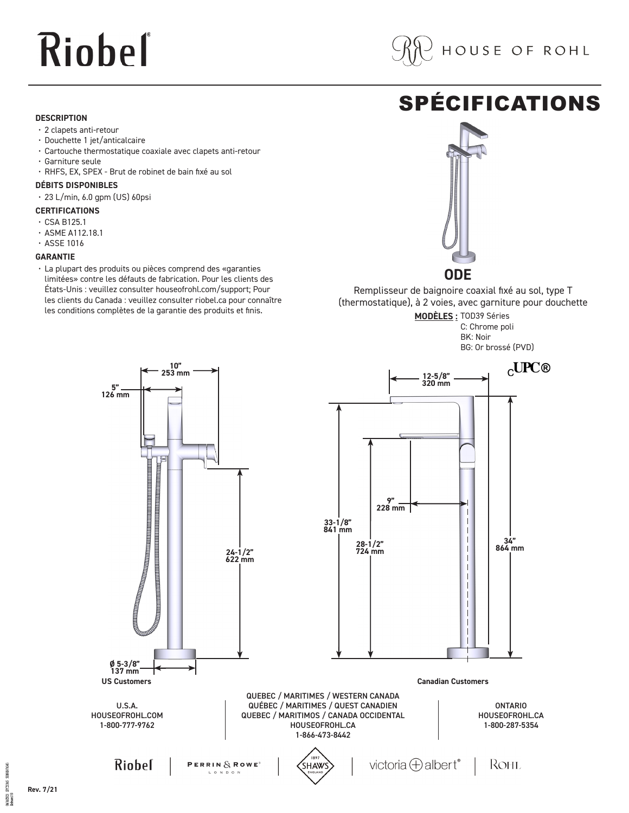# Riobel

#### **DESCRIPTION**

- 2 clapets anti-retour
- Douchette 1 jet/anticalcaire
- Cartouche thermostatique coaxiale avec clapets anti-retour
- Garniture seule
- RHFS, EX, SPEX Brut de robinet de bain fixé au sol

#### **DÉBITS DISPONIBLES**

 $\cdot$  23 L/min, 6.0 gpm (US) 60psi

#### **CERTIFICATIONS**

- CSA B125.1
- ASME A112.18.1
- ASSE 1016

#### **GARANTIE**

• La plupart des produits ou pièces comprend des «garanties limitées» contre les défauts de fabrication. Pour les clients des États-Unis : veuillez consulter houseofrohl.com/support; Pour les clients du Canada : veuillez consulter riobel.ca pour connaître les conditions complètes de la garantie des produits et finis.

### SPÉCIFICATIONS



**ODE**

Remplisseur de baignoire coaxial fixé au sol, type T (thermostatique), à 2 voies, avec garniture pour douchette **MODÈLES :** TOD39 Séries

C: Chrome poli BK: Noir

BG: Or brossé (PVD)



annung aka **PC2196**